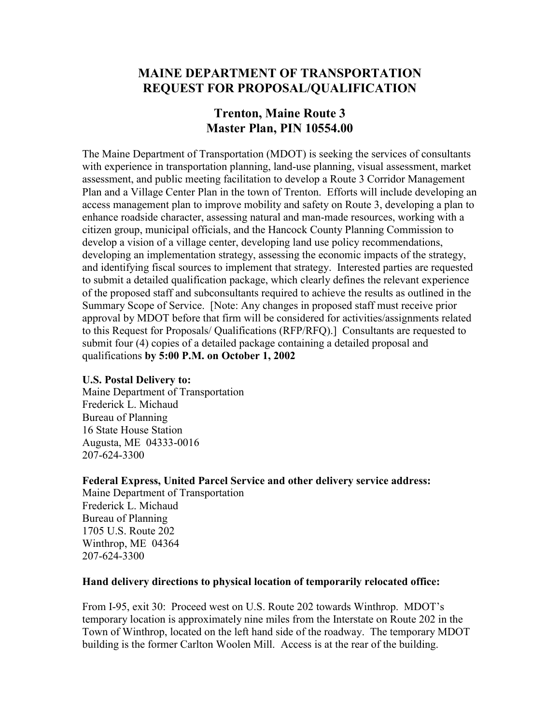# **MAINE DEPARTMENT OF TRANSPORTATION REQUEST FOR PROPOSAL/QUALIFICATION**

# **Trenton, Maine Route 3 Master Plan, PIN 10554.00**

The Maine Department of Transportation (MDOT) is seeking the services of consultants with experience in transportation planning, land-use planning, visual assessment, market assessment, and public meeting facilitation to develop a Route 3 Corridor Management Plan and a Village Center Plan in the town of Trenton. Efforts will include developing an access management plan to improve mobility and safety on Route 3, developing a plan to enhance roadside character, assessing natural and man-made resources, working with a citizen group, municipal officials, and the Hancock County Planning Commission to develop a vision of a village center, developing land use policy recommendations, developing an implementation strategy, assessing the economic impacts of the strategy, and identifying fiscal sources to implement that strategy. Interested parties are requested to submit a detailed qualification package, which clearly defines the relevant experience of the proposed staff and subconsultants required to achieve the results as outlined in the Summary Scope of Service. [Note: Any changes in proposed staff must receive prior approval by MDOT before that firm will be considered for activities/assignments related to this Request for Proposals/ Qualifications (RFP/RFQ).] Consultants are requested to submit four (4) copies of a detailed package containing a detailed proposal and qualifications **by 5:00 P.M. on October 1, 2002**

### **U.S. Postal Delivery to:**

Maine Department of Transportation Frederick L. Michaud Bureau of Planning 16 State House Station Augusta, ME 04333-0016 207-624-3300

### **Federal Express, United Parcel Service and other delivery service address:**

Maine Department of Transportation Frederick L. Michaud Bureau of Planning 1705 U.S. Route 202 Winthrop, ME 04364 207-624-3300

### **Hand delivery directions to physical location of temporarily relocated office:**

From I-95, exit 30: Proceed west on U.S. Route 202 towards Winthrop. MDOT's temporary location is approximately nine miles from the Interstate on Route 202 in the Town of Winthrop, located on the left hand side of the roadway. The temporary MDOT building is the former Carlton Woolen Mill. Access is at the rear of the building.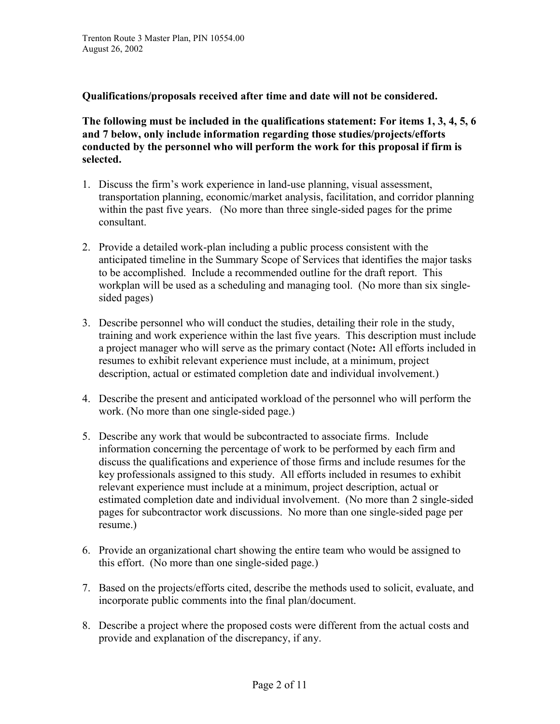**Qualifications/proposals received after time and date will not be considered.** 

**The following must be included in the qualifications statement: For items 1, 3, 4, 5, 6 and 7 below, only include information regarding those studies/projects/efforts conducted by the personnel who will perform the work for this proposal if firm is selected.** 

- 1. Discuss the firm's work experience in land-use planning, visual assessment, transportation planning, economic/market analysis, facilitation, and corridor planning within the past five years. (No more than three single-sided pages for the prime consultant.
- 2. Provide a detailed work-plan including a public process consistent with the anticipated timeline in the Summary Scope of Services that identifies the major tasks to be accomplished. Include a recommended outline for the draft report. This workplan will be used as a scheduling and managing tool. (No more than six singlesided pages)
- 3. Describe personnel who will conduct the studies, detailing their role in the study, training and work experience within the last five years. This description must include a project manager who will serve as the primary contact (Note**:** All efforts included in resumes to exhibit relevant experience must include, at a minimum, project description, actual or estimated completion date and individual involvement.)
- 4. Describe the present and anticipated workload of the personnel who will perform the work. (No more than one single-sided page.)
- 5. Describe any work that would be subcontracted to associate firms. Include information concerning the percentage of work to be performed by each firm and discuss the qualifications and experience of those firms and include resumes for the key professionals assigned to this study. All efforts included in resumes to exhibit relevant experience must include at a minimum, project description, actual or estimated completion date and individual involvement. (No more than 2 single-sided pages for subcontractor work discussions. No more than one single-sided page per resume.)
- 6. Provide an organizational chart showing the entire team who would be assigned to this effort. (No more than one single-sided page.)
- 7. Based on the projects/efforts cited, describe the methods used to solicit, evaluate, and incorporate public comments into the final plan/document.
- 8. Describe a project where the proposed costs were different from the actual costs and provide and explanation of the discrepancy, if any.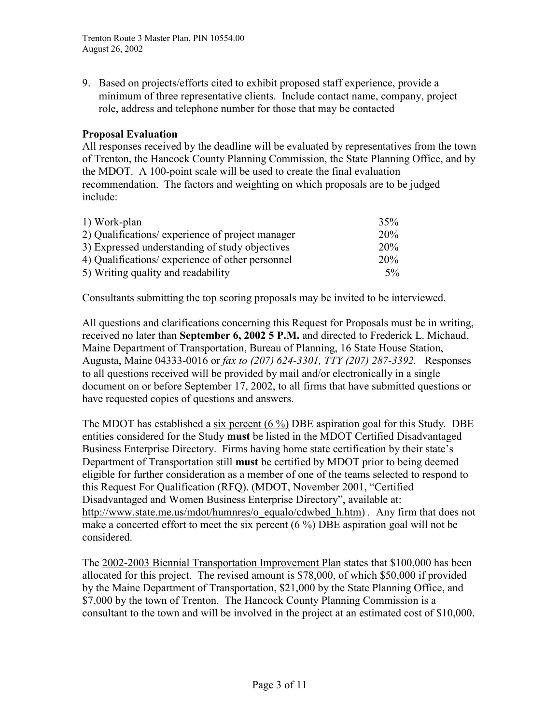9. Based on projects/efforts cited to exhibit proposed staff experience, provide a minimum of three representative clients. Include contact name, company, project role, address and telephone number for those that may be contacted

### **Proposal Evaluation**

All responses received by the deadline will be evaluated by representatives from the town of Trenton, the Hancock County Planning Commission, the State Planning Office, and by the MDOT. A 100-point scale will be used to create the final evaluation recommendation. The factors and weighting on which proposals are to be judged include:

| 1) Work-plan                                     | 35%   |
|--------------------------------------------------|-------|
| 2) Qualifications/ experience of project manager | 20%   |
| 3) Expressed understanding of study objectives   | 20%   |
| 4) Qualifications/ experience of other personnel | 20%   |
| 5) Writing quality and readability               | $5\%$ |

Consultants submitting the top scoring proposals may be invited to be interviewed.

All questions and clarifications concerning this Request for Proposals must be in writing, received no later than **September 6, 2002 5 P.M.** and directed to Frederick L. Michaud, Maine Department of Transportation, Bureau of Planning, 16 State House Station, Augusta, Maine 04333-0016 or *fax to (207) 624-3301, TTY (207) 287-3392.* Responses to all questions received will be provided by mail and/or electronically in a single document on or before September 17, 2002, to all firms that have submitted questions or have requested copies of questions and answers.

The MDOT has established a six percent (6 %) DBE aspiration goal for this Study*.* DBE entities considered for the Study **must** be listed in the MDOT Certified Disadvantaged Business Enterprise Directory. Firms having home state certification by their state's Department of Transportation still **must** be certified by MDOT prior to being deemed eligible for further consideration as a member of one of the teams selected to respond to this Request For Qualification (RFQ). (MDOT, November 2001, "Certified Disadvantaged and Women Business Enterprise Directory", available at: http://www.state.me.us/mdot/humnres/o\_equalo/cdwbed\_h.htm) *.* Any firm that does not make a concerted effort to meet the six percent (6 %) DBE aspiration goal will not be considered.

The 2002-2003 Biennial Transportation Improvement Plan states that \$100,000 has been allocated for this project. The revised amount is \$78,000, of which \$50,000 if provided by the Maine Department of Transportation, \$21,000 by the State Planning Office, and \$7,000 by the town of Trenton. The Hancock County Planning Commission is a consultant to the town and will be involved in the project at an estimated cost of \$10,000.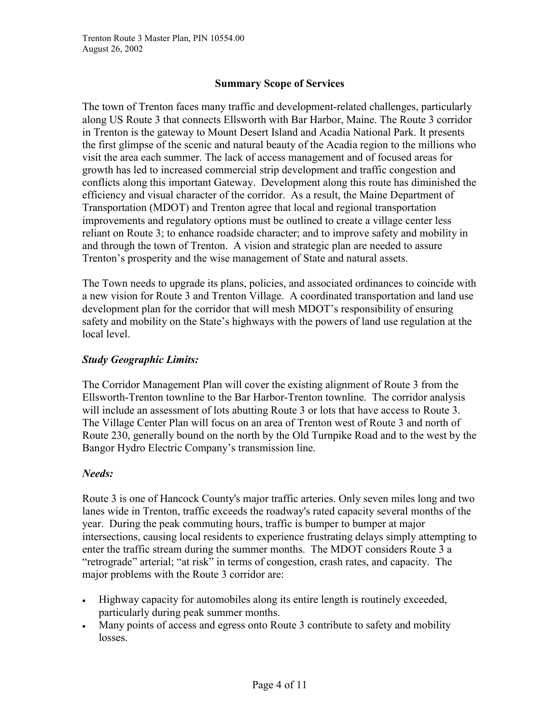# **Summary Scope of Services**

The town of Trenton faces many traffic and development-related challenges, particularly along US Route 3 that connects Ellsworth with Bar Harbor, Maine. The Route 3 corridor in Trenton is the gateway to Mount Desert Island and Acadia National Park. It presents the first glimpse of the scenic and natural beauty of the Acadia region to the millions who visit the area each summer. The lack of access management and of focused areas for growth has led to increased commercial strip development and traffic congestion and conflicts along this important Gateway. Development along this route has diminished the efficiency and visual character of the corridor. As a result, the Maine Department of Transportation (MDOT) and Trenton agree that local and regional transportation improvements and regulatory options must be outlined to create a village center less reliant on Route 3; to enhance roadside character; and to improve safety and mobility in and through the town of Trenton. A vision and strategic plan are needed to assure Trenton's prosperity and the wise management of State and natural assets.

The Town needs to upgrade its plans, policies, and associated ordinances to coincide with a new vision for Route 3 and Trenton Village. A coordinated transportation and land use development plan for the corridor that will mesh MDOT's responsibility of ensuring safety and mobility on the State's highways with the powers of land use regulation at the local level.

### *Study Geographic Limits:*

The Corridor Management Plan will cover the existing alignment of Route 3 from the Ellsworth-Trenton townline to the Bar Harbor-Trenton townline. The corridor analysis will include an assessment of lots abutting Route 3 or lots that have access to Route 3. The Village Center Plan will focus on an area of Trenton west of Route 3 and north of Route 230, generally bound on the north by the Old Turnpike Road and to the west by the Bangor Hydro Electric Company's transmission line.

## *Needs:*

Route 3 is one of Hancock County's major traffic arteries. Only seven miles long and two lanes wide in Trenton, traffic exceeds the roadway's rated capacity several months of the year. During the peak commuting hours, traffic is bumper to bumper at major intersections, causing local residents to experience frustrating delays simply attempting to enter the traffic stream during the summer months. The MDOT considers Route 3 a "retrograde" arterial; "at risk" in terms of congestion, crash rates, and capacity. The major problems with the Route 3 corridor are:

- $\bullet$  Highway capacity for automobiles along its entire length is routinely exceeded, particularly during peak summer months.
- $\bullet$  Many points of access and egress onto Route 3 contribute to safety and mobility losses.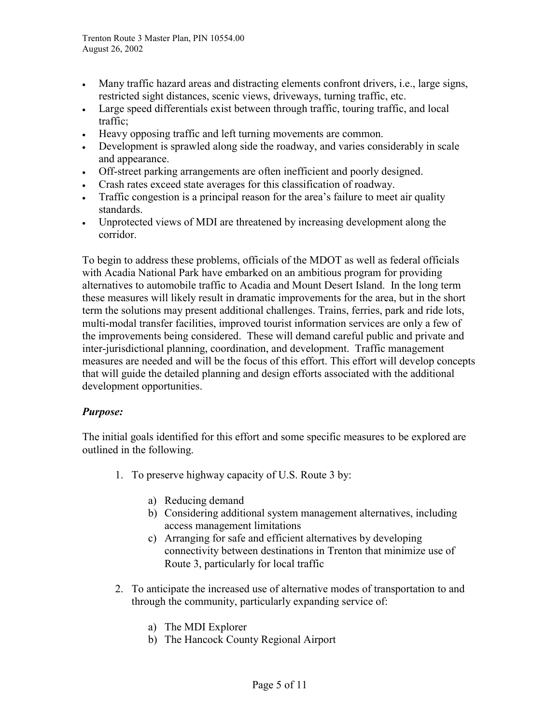- $\bullet$  Many traffic hazard areas and distracting elements confront drivers, i.e., large signs, restricted sight distances, scenic views, driveways, turning traffic, etc.
- Large speed differentials exist between through traffic, touring traffic, and local traffic;
- Heavy opposing traffic and left turning movements are common.
- Development is sprawled along side the roadway, and varies considerably in scale and appearance.
- Off-street parking arrangements are often inefficient and poorly designed.
- Crash rates exceed state averages for this classification of roadway.
- Traffic congestion is a principal reason for the area's failure to meet air quality standards.
- Unprotected views of MDI are threatened by increasing development along the corridor.

To begin to address these problems, officials of the MDOT as well as federal officials with Acadia National Park have embarked on an ambitious program for providing alternatives to automobile traffic to Acadia and Mount Desert Island. In the long term these measures will likely result in dramatic improvements for the area, but in the short term the solutions may present additional challenges. Trains, ferries, park and ride lots, multi-modal transfer facilities, improved tourist information services are only a few of the improvements being considered. These will demand careful public and private and inter-jurisdictional planning, coordination, and development. Traffic management measures are needed and will be the focus of this effort. This effort will develop concepts that will guide the detailed planning and design efforts associated with the additional development opportunities.

## *Purpose:*

The initial goals identified for this effort and some specific measures to be explored are outlined in the following.

- 1. To preserve highway capacity of U.S. Route 3 by:
	- a) Reducing demand
	- b) Considering additional system management alternatives, including access management limitations
	- c) Arranging for safe and efficient alternatives by developing connectivity between destinations in Trenton that minimize use of Route 3, particularly for local traffic
- 2. To anticipate the increased use of alternative modes of transportation to and through the community, particularly expanding service of:
	- a) The MDI Explorer
	- b) The Hancock County Regional Airport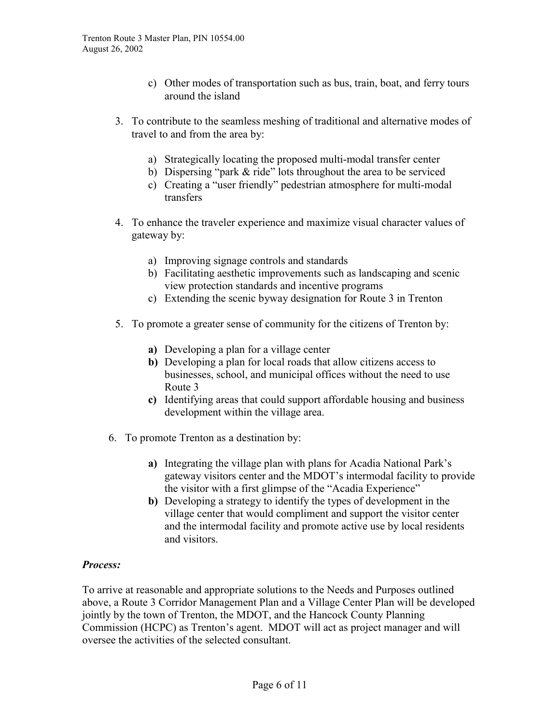- c) Other modes of transportation such as bus, train, boat, and ferry tours around the island
- 3. To contribute to the seamless meshing of traditional and alternative modes of travel to and from the area by:
	- a) Strategically locating the proposed multi-modal transfer center
	- b) Dispersing "park & ride" lots throughout the area to be serviced
	- c) Creating a "user friendly" pedestrian atmosphere for multi-modal transfers
- 4. To enhance the traveler experience and maximize visual character values of gateway by:
	- a) Improving signage controls and standards
	- b) Facilitating aesthetic improvements such as landscaping and scenic view protection standards and incentive programs
	- c) Extending the scenic byway designation for Route 3 in Trenton
- 5. To promote a greater sense of community for the citizens of Trenton by:
	- **a)** Developing a plan for a village center
	- **b)** Developing a plan for local roads that allow citizens access to businesses, school, and municipal offices without the need to use Route 3
	- **c)** Identifying areas that could support affordable housing and business development within the village area.
- 6. To promote Trenton as a destination by:
	- **a)** Integrating the village plan with plans for Acadia National Park's gateway visitors center and the MDOT's intermodal facility to provide the visitor with a first glimpse of the "Acadia Experience"
	- **b)** Developing a strategy to identify the types of development in the village center that would compliment and support the visitor center and the intermodal facility and promote active use by local residents and visitors.

### *Process:*

To arrive at reasonable and appropriate solutions to the Needs and Purposes outlined above, a Route 3 Corridor Management Plan and a Village Center Plan will be developed jointly by the town of Trenton, the MDOT, and the Hancock County Planning Commission (HCPC) as Trenton's agent. MDOT will act as project manager and will oversee the activities of the selected consultant.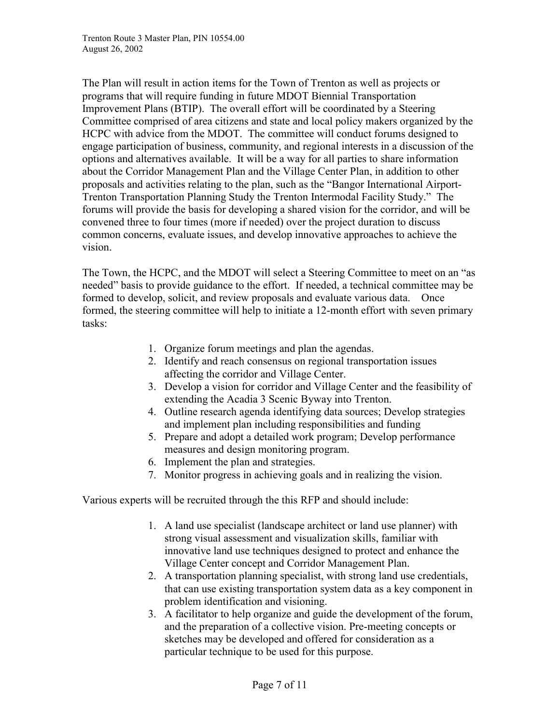The Plan will result in action items for the Town of Trenton as well as projects or programs that will require funding in future MDOT Biennial Transportation Improvement Plans (BTIP). The overall effort will be coordinated by a Steering Committee comprised of area citizens and state and local policy makers organized by the HCPC with advice from the MDOT. The committee will conduct forums designed to engage participation of business, community, and regional interests in a discussion of the options and alternatives available. It will be a way for all parties to share information about the Corridor Management Plan and the Village Center Plan, in addition to other proposals and activities relating to the plan, such as the "Bangor International Airport-Trenton Transportation Planning Study the Trenton Intermodal Facility Study." The forums will provide the basis for developing a shared vision for the corridor, and will be convened three to four times (more if needed) over the project duration to discuss common concerns, evaluate issues, and develop innovative approaches to achieve the vision.

The Town, the HCPC, and the MDOT will select a Steering Committee to meet on an "as needed" basis to provide guidance to the effort. If needed, a technical committee may be formed to develop, solicit, and review proposals and evaluate various data. Once formed, the steering committee will help to initiate a 12-month effort with seven primary tasks:

- 1. Organize forum meetings and plan the agendas.
- 2. Identify and reach consensus on regional transportation issues affecting the corridor and Village Center.
- 3. Develop a vision for corridor and Village Center and the feasibility of extending the Acadia 3 Scenic Byway into Trenton.
- 4. Outline research agenda identifying data sources; Develop strategies and implement plan including responsibilities and funding
- 5. Prepare and adopt a detailed work program; Develop performance measures and design monitoring program.
- 6. Implement the plan and strategies.
- 7. Monitor progress in achieving goals and in realizing the vision.

Various experts will be recruited through the this RFP and should include:

- 1. A land use specialist (landscape architect or land use planner) with strong visual assessment and visualization skills, familiar with innovative land use techniques designed to protect and enhance the Village Center concept and Corridor Management Plan.
- 2. A transportation planning specialist, with strong land use credentials, that can use existing transportation system data as a key component in problem identification and visioning.
- 3. A facilitator to help organize and guide the development of the forum, and the preparation of a collective vision. Pre-meeting concepts or sketches may be developed and offered for consideration as a particular technique to be used for this purpose.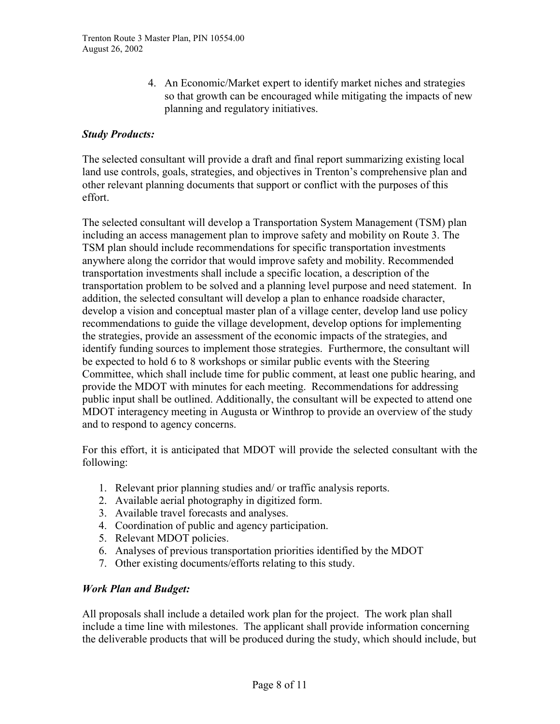4. An Economic/Market expert to identify market niches and strategies so that growth can be encouraged while mitigating the impacts of new planning and regulatory initiatives.

### *Study Products:*

The selected consultant will provide a draft and final report summarizing existing local land use controls, goals, strategies, and objectives in Trenton's comprehensive plan and other relevant planning documents that support or conflict with the purposes of this effort.

The selected consultant will develop a Transportation System Management (TSM) plan including an access management plan to improve safety and mobility on Route 3. The TSM plan should include recommendations for specific transportation investments anywhere along the corridor that would improve safety and mobility. Recommended transportation investments shall include a specific location, a description of the transportation problem to be solved and a planning level purpose and need statement. In addition, the selected consultant will develop a plan to enhance roadside character, develop a vision and conceptual master plan of a village center, develop land use policy recommendations to guide the village development, develop options for implementing the strategies, provide an assessment of the economic impacts of the strategies, and identify funding sources to implement those strategies. Furthermore, the consultant will be expected to hold 6 to 8 workshops or similar public events with the Steering Committee, which shall include time for public comment, at least one public hearing, and provide the MDOT with minutes for each meeting. Recommendations for addressing public input shall be outlined. Additionally, the consultant will be expected to attend one MDOT interagency meeting in Augusta or Winthrop to provide an overview of the study and to respond to agency concerns.

For this effort, it is anticipated that MDOT will provide the selected consultant with the following:

- 1. Relevant prior planning studies and/ or traffic analysis reports.
- 2. Available aerial photography in digitized form.
- 3. Available travel forecasts and analyses.
- 4. Coordination of public and agency participation.
- 5. Relevant MDOT policies.
- 6. Analyses of previous transportation priorities identified by the MDOT
- 7. Other existing documents/efforts relating to this study.

### *Work Plan and Budget:*

All proposals shall include a detailed work plan for the project. The work plan shall include a time line with milestones. The applicant shall provide information concerning the deliverable products that will be produced during the study, which should include, but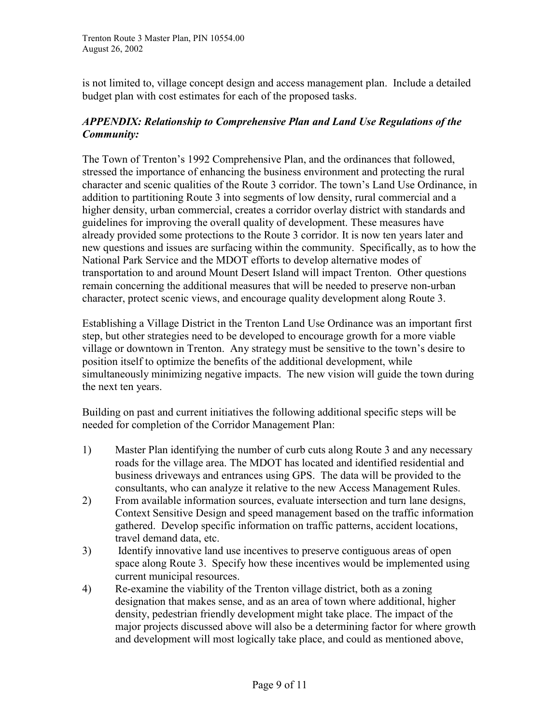is not limited to, village concept design and access management plan. Include a detailed budget plan with cost estimates for each of the proposed tasks.

# *APPENDIX: Relationship to Comprehensive Plan and Land Use Regulations of the Community:*

The Town of Trenton's 1992 Comprehensive Plan, and the ordinances that followed, stressed the importance of enhancing the business environment and protecting the rural character and scenic qualities of the Route 3 corridor. The town's Land Use Ordinance, in addition to partitioning Route 3 into segments of low density, rural commercial and a higher density, urban commercial, creates a corridor overlay district with standards and guidelines for improving the overall quality of development. These measures have already provided some protections to the Route 3 corridor. It is now ten years later and new questions and issues are surfacing within the community. Specifically, as to how the National Park Service and the MDOT efforts to develop alternative modes of transportation to and around Mount Desert Island will impact Trenton. Other questions remain concerning the additional measures that will be needed to preserve non-urban character, protect scenic views, and encourage quality development along Route 3.

Establishing a Village District in the Trenton Land Use Ordinance was an important first step, but other strategies need to be developed to encourage growth for a more viable village or downtown in Trenton. Any strategy must be sensitive to the town's desire to position itself to optimize the benefits of the additional development, while simultaneously minimizing negative impacts. The new vision will guide the town during the next ten years.

Building on past and current initiatives the following additional specific steps will be needed for completion of the Corridor Management Plan:

- 1) Master Plan identifying the number of curb cuts along Route 3 and any necessary roads for the village area. The MDOT has located and identified residential and business driveways and entrances using GPS. The data will be provided to the consultants, who can analyze it relative to the new Access Management Rules.
- 2) From available information sources, evaluate intersection and turn lane designs, Context Sensitive Design and speed management based on the traffic information gathered. Develop specific information on traffic patterns, accident locations, travel demand data, etc.
- 3) Identify innovative land use incentives to preserve contiguous areas of open space along Route 3. Specify how these incentives would be implemented using current municipal resources.
- 4) Re-examine the viability of the Trenton village district, both as a zoning designation that makes sense, and as an area of town where additional, higher density, pedestrian friendly development might take place. The impact of the major projects discussed above will also be a determining factor for where growth and development will most logically take place, and could as mentioned above,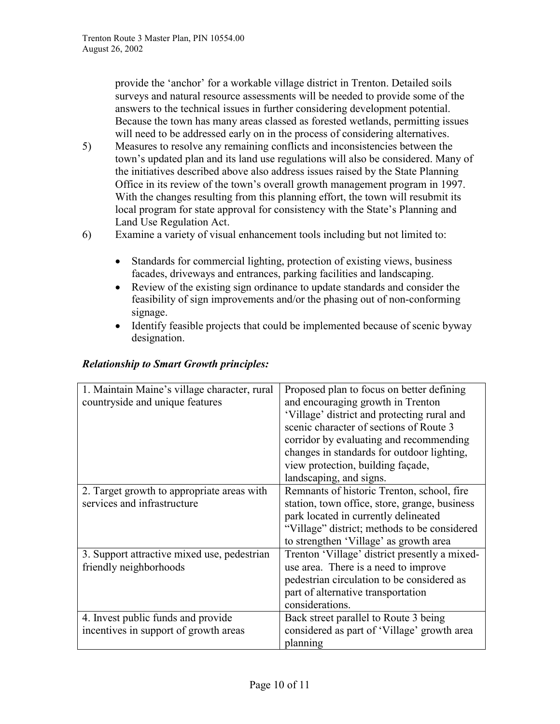provide the 'anchor' for a workable village district in Trenton. Detailed soils surveys and natural resource assessments will be needed to provide some of the answers to the technical issues in further considering development potential. Because the town has many areas classed as forested wetlands, permitting issues will need to be addressed early on in the process of considering alternatives.

- 5) Measures to resolve any remaining conflicts and inconsistencies between the town's updated plan and its land use regulations will also be considered. Many of the initiatives described above also address issues raised by the State Planning Office in its review of the town's overall growth management program in 1997. With the changes resulting from this planning effort, the town will resubmit its local program for state approval for consistency with the State's Planning and Land Use Regulation Act.
- 6) Examine a variety of visual enhancement tools including but not limited to:
	- $\bullet$  Standards for commercial lighting, protection of existing views, business facades, driveways and entrances, parking facilities and landscaping.
	- $\bullet$  Review of the existing sign ordinance to update standards and consider the feasibility of sign improvements and/or the phasing out of non-conforming signage.
	- $\bullet$  Identify feasible projects that could be implemented because of scenic byway designation.

### *Relationship to Smart Growth principles:*

| 1. Maintain Maine's village character, rural<br>countryside and unique features | Proposed plan to focus on better defining<br>and encouraging growth in Trenton |
|---------------------------------------------------------------------------------|--------------------------------------------------------------------------------|
|                                                                                 | 'Village' district and protecting rural and                                    |
|                                                                                 | scenic character of sections of Route 3                                        |
|                                                                                 | corridor by evaluating and recommending                                        |
|                                                                                 | changes in standards for outdoor lighting,                                     |
|                                                                                 | view protection, building façade,                                              |
|                                                                                 | landscaping, and signs.                                                        |
| 2. Target growth to appropriate areas with                                      | Remnants of historic Trenton, school, fire                                     |
| services and infrastructure                                                     | station, town office, store, grange, business                                  |
|                                                                                 | park located in currently delineated                                           |
|                                                                                 | "Village" district; methods to be considered                                   |
|                                                                                 | to strengthen 'Village' as growth area                                         |
| 3. Support attractive mixed use, pedestrian                                     | Trenton 'Village' district presently a mixed-                                  |
| friendly neighborhoods                                                          | use area. There is a need to improve                                           |
|                                                                                 | pedestrian circulation to be considered as                                     |
|                                                                                 | part of alternative transportation                                             |
|                                                                                 | considerations.                                                                |
| 4. Invest public funds and provide                                              | Back street parallel to Route 3 being                                          |
| incentives in support of growth areas                                           | considered as part of 'Village' growth area                                    |
|                                                                                 | planning                                                                       |